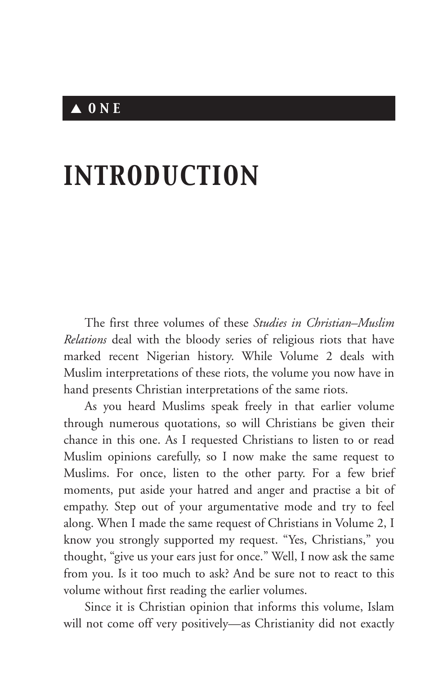# ▲ *ONE*

# *INTRODUCTION*

The first three volumes of these *Studies in Christian–Muslim Relations* deal with the bloody series of religious riots that have marked recent Nigerian history. While Volume 2 deals with Muslim interpretations of these riots, the volume you now have in hand presents Christian interpretations of the same riots.

As you heard Muslims speak freely in that earlier volume through numerous quotations, so will Christians be given their chance in this one. As I requested Christians to listen to or read Muslim opinions carefully, so I now make the same request to Muslims. For once, listen to the other party. For a few brief moments, put aside your hatred and anger and practise a bit of empathy. Step out of your argumentative mode and try to feel along. When I made the same request of Christians in Volume 2, I know you strongly supported my request. "Yes, Christians," you thought, "give us your ears just for once." Well, I now ask the same from you. Is it too much to ask? And be sure not to react to this volume without first reading the earlier volumes.

Since it is Christian opinion that informs this volume, Islam will not come off very positively—as Christianity did not exactly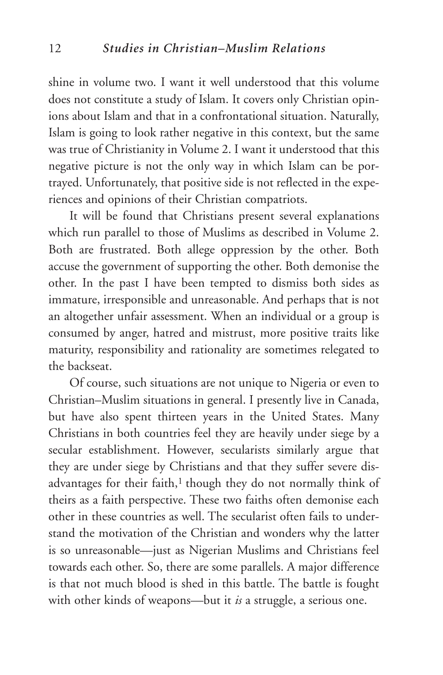shine in volume two. I want it well understood that this volume does not constitute a study of Islam. It covers only Christian opinions about Islam and that in a confrontational situation. Naturally, Islam is going to look rather negative in this context, but the same was true of Christianity in Volume 2. I want it understood that this negative picture is not the only way in which Islam can be portrayed. Unfortunately, that positive side is not reflected in the experiences and opinions of their Christian compatriots.

It will be found that Christians present several explanations which run parallel to those of Muslims as described in Volume 2. Both are frustrated. Both allege oppression by the other. Both accuse the government of supporting the other. Both demonise the other. In the past I have been tempted to dismiss both sides as immature, irresponsible and unreasonable. And perhaps that is not an altogether unfair assessment. When an individual or a group is consumed by anger, hatred and mistrust, more positive traits like maturity, responsibility and rationality are sometimes relegated to the backseat.

Of course, such situations are not unique to Nigeria or even to Christian–Muslim situations in general. I presently live in Canada, but have also spent thirteen years in the United States. Many Christians in both countries feel they are heavily under siege by a secular establishment. However, secularists similarly argue that they are under siege by Christians and that they suffer severe disadvantages for their faith,<sup>1</sup> though they do not normally think of theirs as a faith perspective. These two faiths often demonise each other in these countries as well. The secularist often fails to understand the motivation of the Christian and wonders why the latter is so unreasonable—just as Nigerian Muslims and Christians feel towards each other. So, there are some parallels. A major difference is that not much blood is shed in this battle. The battle is fought with other kinds of weapons—but it *is* a struggle, a serious one.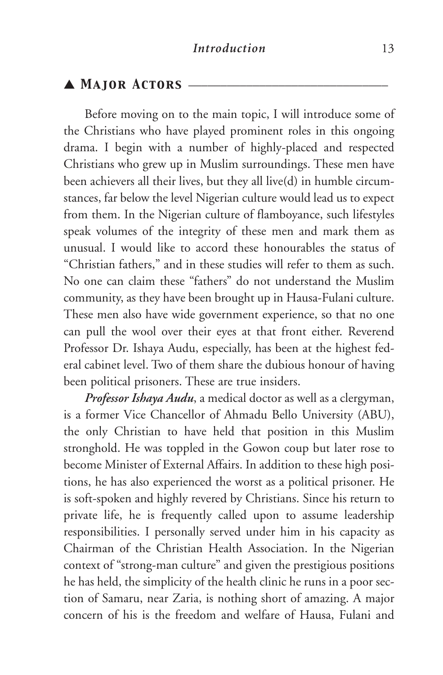### ▲ **MAJOR ACTORS** –

Before moving on to the main topic, I will introduce some of the Christians who have played prominent roles in this ongoing drama. I begin with a number of highly-placed and respected Christians who grew up in Muslim surroundings. These men have been achievers all their lives, but they all live(d) in humble circumstances, far below the level Nigerian culture would lead us to expect from them. In the Nigerian culture of flamboyance, such lifestyles speak volumes of the integrity of these men and mark them as unusual. I would like to accord these honourables the status of "Christian fathers," and in these studies will refer to them as such. No one can claim these "fathers" do not understand the Muslim community, as they have been brought up in Hausa-Fulani culture. These men also have wide government experience, so that no one can pull the wool over their eyes at that front either. Reverend Professor Dr. Ishaya Audu, especially, has been at the highest federal cabinet level. Two of them share the dubious honour of having been political prisoners. These are true insiders.

*Professor Ishaya Audu*, a medical doctor as well as a clergyman, is a former Vice Chancellor of Ahmadu Bello University (ABU), the only Christian to have held that position in this Muslim stronghold. He was toppled in the Gowon coup but later rose to become Minister of External Affairs. In addition to these high positions, he has also experienced the worst as a political prisoner. He is soft-spoken and highly revered by Christians. Since his return to private life, he is frequently called upon to assume leadership responsibilities. I personally served under him in his capacity as Chairman of the Christian Health Association. In the Nigerian context of "strong-man culture" and given the prestigious positions he has held, the simplicity of the health clinic he runs in a poor section of Samaru, near Zaria, is nothing short of amazing. A major concern of his is the freedom and welfare of Hausa, Fulani and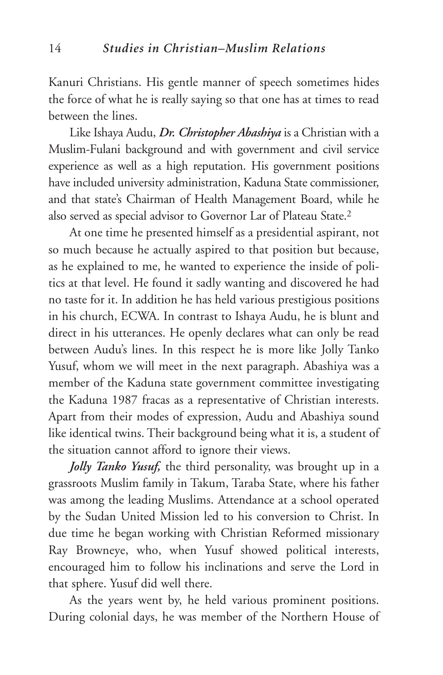Kanuri Christians. His gentle manner of speech sometimes hides the force of what he is really saying so that one has at times to read between the lines.

Like Ishaya Audu, *Dr. Christopher Abashiya* is a Christian with a Muslim-Fulani background and with government and civil service experience as well as a high reputation. His government positions have included university administration, Kaduna State commissioner, and that state's Chairman of Health Management Board, while he also served as special advisor to Governor Lar of Plateau State.2

At one time he presented himself as a presidential aspirant, not so much because he actually aspired to that position but because, as he explained to me, he wanted to experience the inside of politics at that level. He found it sadly wanting and discovered he had no taste for it. In addition he has held various prestigious positions in his church, ECWA. In contrast to Ishaya Audu, he is blunt and direct in his utterances. He openly declares what can only be read between Audu's lines. In this respect he is more like Jolly Tanko Yusuf, whom we will meet in the next paragraph. Abashiya was a member of the Kaduna state government committee investigating the Kaduna 1987 fracas as a representative of Christian interests. Apart from their modes of expression, Audu and Abashiya sound like identical twins. Their background being what it is, a student of the situation cannot afford to ignore their views.

*Jolly Tanko Yusuf,* the third personality, was brought up in a grassroots Muslim family in Takum, Taraba State, where his father was among the leading Muslims. Attendance at a school operated by the Sudan United Mission led to his conversion to Christ. In due time he began working with Christian Reformed missionary Ray Browneye, who, when Yusuf showed political interests, encouraged him to follow his inclinations and serve the Lord in that sphere. Yusuf did well there.

As the years went by, he held various prominent positions. During colonial days, he was member of the Northern House of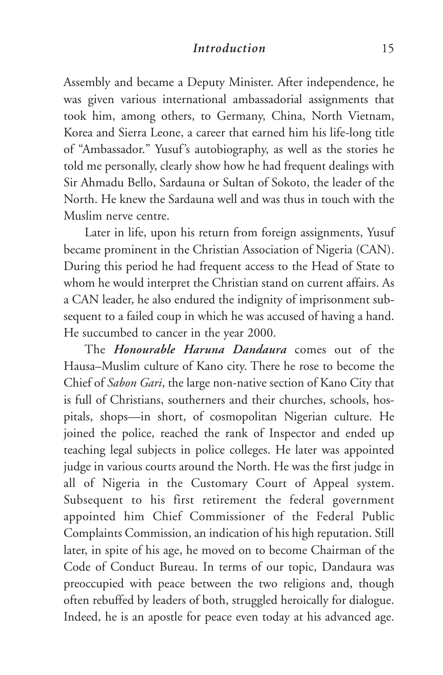#### *Introduction* 15

Assembly and became a Deputy Minister. After independence, he was given various international ambassadorial assignments that took him, among others, to Germany, China, North Vietnam, Korea and Sierra Leone, a career that earned him his life-long title of "Ambassador." Yusuf's autobiography, as well as the stories he told me personally, clearly show how he had frequent dealings with Sir Ahmadu Bello, Sardauna or Sultan of Sokoto, the leader of the North. He knew the Sardauna well and was thus in touch with the Muslim nerve centre.

Later in life, upon his return from foreign assignments, Yusuf became prominent in the Christian Association of Nigeria (CAN). During this period he had frequent access to the Head of State to whom he would interpret the Christian stand on current affairs. As a CAN leader, he also endured the indignity of imprisonment subsequent to a failed coup in which he was accused of having a hand. He succumbed to cancer in the year 2000.

The *Honourable Haruna Dandaura* comes out of the Hausa–Muslim culture of Kano city. There he rose to become the Chief of *Sabon Gari*, the large non-native section of Kano City that is full of Christians, southerners and their churches, schools, hospitals, shops—in short, of cosmopolitan Nigerian culture. He joined the police, reached the rank of Inspector and ended up teaching legal subjects in police colleges. He later was appointed judge in various courts around the North. He was the first judge in all of Nigeria in the Customary Court of Appeal system. Subsequent to his first retirement the federal government appointed him Chief Commissioner of the Federal Public Complaints Commission, an indication of his high reputation. Still later, in spite of his age, he moved on to become Chairman of the Code of Conduct Bureau. In terms of our topic, Dandaura was preoccupied with peace between the two religions and, though often rebuffed by leaders of both, struggled heroically for dialogue. Indeed, he is an apostle for peace even today at his advanced age.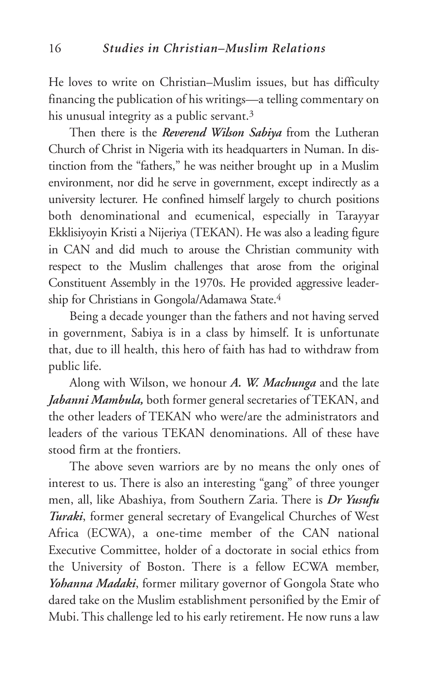He loves to write on Christian–Muslim issues, but has difficulty financing the publication of his writings—a telling commentary on his unusual integrity as a public servant.<sup>3</sup>

Then there is the *Reverend Wilson Sabiya* from the Lutheran Church of Christ in Nigeria with its headquarters in Numan. In distinction from the "fathers," he was neither brought up in a Muslim environment, nor did he serve in government, except indirectly as a university lecturer. He confined himself largely to church positions both denominational and ecumenical, especially in Tarayyar Ekklisiyoyin Kristi a Nijeriya (TEKAN). He was also a leading figure in CAN and did much to arouse the Christian community with respect to the Muslim challenges that arose from the original Constituent Assembly in the 1970s. He provided aggressive leadership for Christians in Gongola/Adamawa State.4

Being a decade younger than the fathers and not having served in government, Sabiya is in a class by himself. It is unfortunate that, due to ill health, this hero of faith has had to withdraw from public life.

Along with Wilson, we honour *A. W. Machunga* and the late *Jabanni Mambula,* both former general secretaries of TEKAN, and the other leaders of TEKAN who were/are the administrators and leaders of the various TEKAN denominations. All of these have stood firm at the frontiers.

The above seven warriors are by no means the only ones of interest to us. There is also an interesting "gang" of three younger men, all, like Abashiya, from Southern Zaria. There is *Dr Yusufu Turaki*, former general secretary of Evangelical Churches of West Africa (ECWA), a one-time member of the CAN national Executive Committee, holder of a doctorate in social ethics from the University of Boston. There is a fellow ECWA member, *Yohanna Madaki*, former military governor of Gongola State who dared take on the Muslim establishment personified by the Emir of Mubi. This challenge led to his early retirement. He now runs a law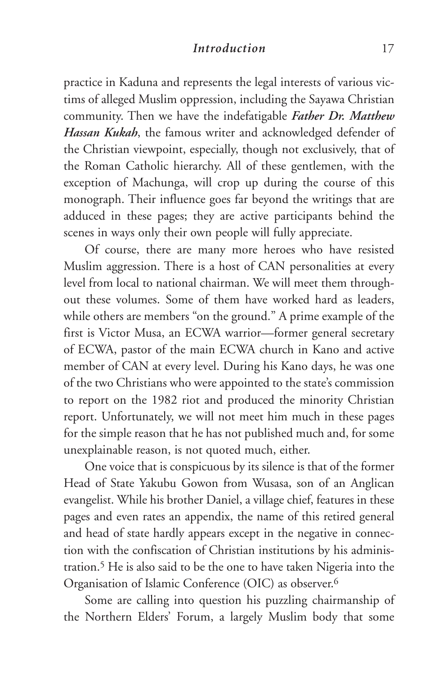#### *Introduction* 17

practice in Kaduna and represents the legal interests of various victims of alleged Muslim oppression, including the Sayawa Christian community. Then we have the indefatigable *Father Dr. Matthew Hassan Kukah*, the famous writer and acknowledged defender of the Christian viewpoint, especially, though not exclusively, that of the Roman Catholic hierarchy. All of these gentlemen, with the exception of Machunga, will crop up during the course of this monograph. Their influence goes far beyond the writings that are adduced in these pages; they are active participants behind the scenes in ways only their own people will fully appreciate.

Of course, there are many more heroes who have resisted Muslim aggression. There is a host of CAN personalities at every level from local to national chairman. We will meet them throughout these volumes. Some of them have worked hard as leaders, while others are members "on the ground." A prime example of the first is Victor Musa, an ECWA warrior—former general secretary of ECWA, pastor of the main ECWA church in Kano and active member of CAN at every level. During his Kano days, he was one of the two Christians who were appointed to the state's commission to report on the 1982 riot and produced the minority Christian report. Unfortunately, we will not meet him much in these pages for the simple reason that he has not published much and, for some unexplainable reason, is not quoted much, either.

One voice that is conspicuous by its silence is that of the former Head of State Yakubu Gowon from Wusasa, son of an Anglican evangelist. While his brother Daniel, a village chief, features in these pages and even rates an appendix, the name of this retired general and head of state hardly appears except in the negative in connection with the confiscation of Christian institutions by his administration.5 He is also said to be the one to have taken Nigeria into the Organisation of Islamic Conference (OIC) as observer.6

Some are calling into question his puzzling chairmanship of the Northern Elders' Forum, a largely Muslim body that some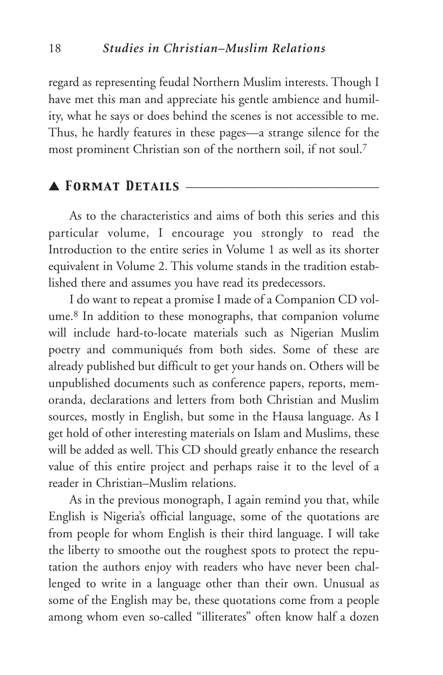regard as representing feudal Northern Muslim interests. Though I have met this man and appreciate his gentle ambience and humility, what he says or does behind the scenes is not accessible to me. Thus, he hardly features in these pages—a strange silence for the most prominent Christian son of the northern soil, if not soul.7

# ▲ *Format Details* \_\_\_\_\_\_\_\_\_\_\_\_\_\_\_\_\_\_\_\_\_\_\_\_\_\_\_\_\_\_

As to the characteristics and aims of both this series and this particular volume, I encourage you strongly to read the Introduction to the entire series in Volume 1 as well as its shorter equivalent in Volume 2. This volume stands in the tradition established there and assumes you have read its predecessors.

I do want to repeat a promise I made of a Companion CD volume.8 In addition to these monographs, that companion volume will include hard-to-locate materials such as Nigerian Muslim poetry and communiqués from both sides. Some of these are already published but difficult to get your hands on. Others will be unpublished documents such as conference papers, reports, memoranda, declarations and letters from both Christian and Muslim sources, mostly in English, but some in the Hausa language. As I get hold of other interesting materials on Islam and Muslims, these will be added as well. This CD should greatly enhance the research value of this entire project and perhaps raise it to the level of a reader in Christian–Muslim relations.

As in the previous monograph, I again remind you that, while English is Nigeria's official language, some of the quotations are from people for whom English is their third language. I will take the liberty to smoothe out the roughest spots to protect the reputation the authors enjoy with readers who have never been challenged to write in a language other than their own. Unusual as some of the English may be, these quotations come from a people among whom even so-called "illiterates" often know half a dozen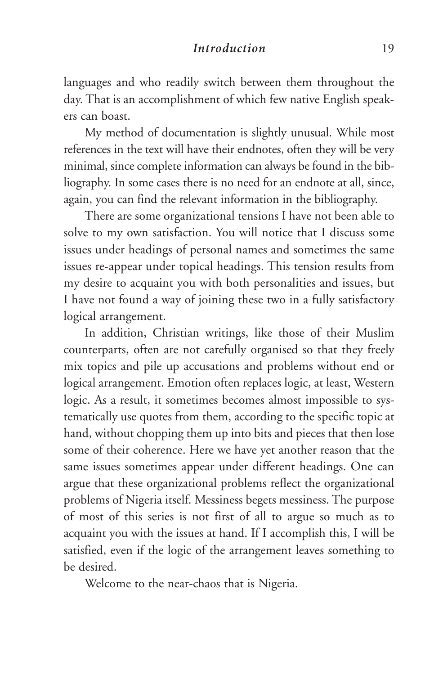#### *Introduction* 19

languages and who readily switch between them throughout the day. That is an accomplishment of which few native English speakers can boast.

My method of documentation is slightly unusual. While most references in the text will have their endnotes, often they will be very minimal, since complete information can always be found in the bibliography. In some cases there is no need for an endnote at all, since, again, you can find the relevant information in the bibliography.

There are some organizational tensions I have not been able to solve to my own satisfaction. You will notice that I discuss some issues under headings of personal names and sometimes the same issues re-appear under topical headings. This tension results from my desire to acquaint you with both personalities and issues, but I have not found a way of joining these two in a fully satisfactory logical arrangement.

In addition, Christian writings, like those of their Muslim counterparts, often are not carefully organised so that they freely mix topics and pile up accusations and problems without end or logical arrangement. Emotion often replaces logic, at least, Western logic. As a result, it sometimes becomes almost impossible to systematically use quotes from them, according to the specific topic at hand, without chopping them up into bits and pieces that then lose some of their coherence. Here we have yet another reason that the same issues sometimes appear under different headings. One can argue that these organizational problems reflect the organizational problems of Nigeria itself. Messiness begets messiness. The purpose of most of this series is not first of all to argue so much as to acquaint you with the issues at hand. If I accomplish this, I will be satisfied, even if the logic of the arrangement leaves something to be desired.

Welcome to the near-chaos that is Nigeria.